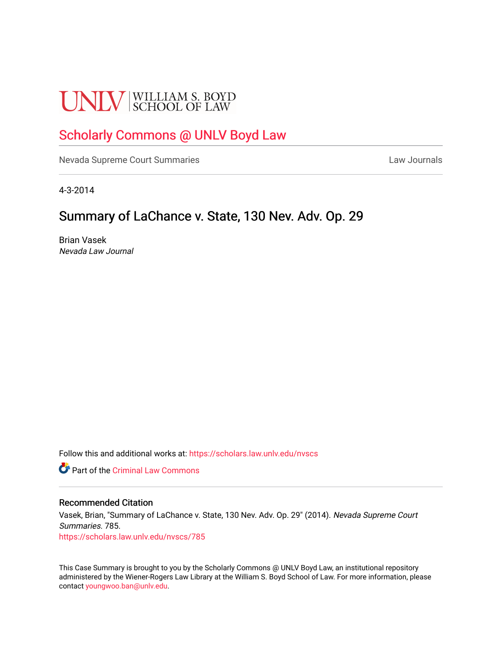# **UNLV** SCHOOL OF LAW

# [Scholarly Commons @ UNLV Boyd Law](https://scholars.law.unlv.edu/)

[Nevada Supreme Court Summaries](https://scholars.law.unlv.edu/nvscs) **Law Journals** Law Journals

4-3-2014

## Summary of LaChance v. State, 130 Nev. Adv. Op. 29

Brian Vasek Nevada Law Journal

Follow this and additional works at: [https://scholars.law.unlv.edu/nvscs](https://scholars.law.unlv.edu/nvscs?utm_source=scholars.law.unlv.edu%2Fnvscs%2F785&utm_medium=PDF&utm_campaign=PDFCoverPages)

**C** Part of the Criminal Law Commons

#### Recommended Citation

Vasek, Brian, "Summary of LaChance v. State, 130 Nev. Adv. Op. 29" (2014). Nevada Supreme Court Summaries. 785. [https://scholars.law.unlv.edu/nvscs/785](https://scholars.law.unlv.edu/nvscs/785?utm_source=scholars.law.unlv.edu%2Fnvscs%2F785&utm_medium=PDF&utm_campaign=PDFCoverPages)

This Case Summary is brought to you by the Scholarly Commons @ UNLV Boyd Law, an institutional repository administered by the Wiener-Rogers Law Library at the William S. Boyd School of Law. For more information, please contact [youngwoo.ban@unlv.edu](mailto:youngwoo.ban@unlv.edu).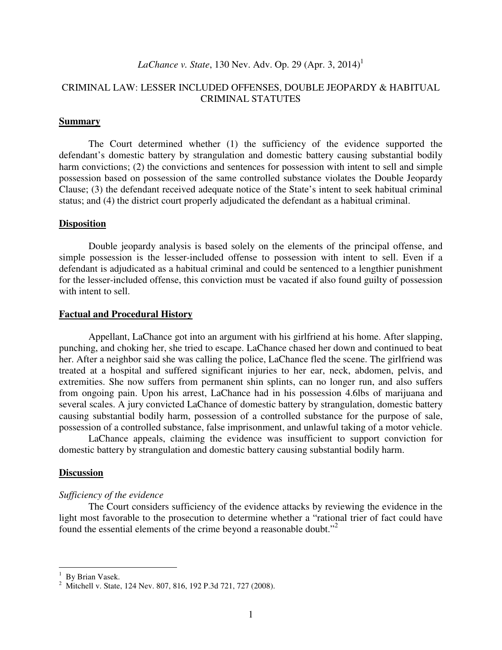## *LaChance v. State, 130 Nev. Adv. Op. 29 (Apr. 3, 2014)*<sup>1</sup>

### CRIMINAL LAW: LESSER INCLUDED OFFENSES, DOUBLE JEOPARDY & HABITUAL CRIMINAL STATUTES

#### **Summary**

The Court determined whether (1) the sufficiency of the evidence supported the defendant's domestic battery by strangulation and domestic battery causing substantial bodily harm convictions; (2) the convictions and sentences for possession with intent to sell and simple possession based on possession of the same controlled substance violates the Double Jeopardy Clause; (3) the defendant received adequate notice of the State's intent to seek habitual criminal status; and (4) the district court properly adjudicated the defendant as a habitual criminal.

#### **Disposition**

 Double jeopardy analysis is based solely on the elements of the principal offense, and simple possession is the lesser-included offense to possession with intent to sell. Even if a defendant is adjudicated as a habitual criminal and could be sentenced to a lengthier punishment for the lesser-included offense, this conviction must be vacated if also found guilty of possession with intent to sell.

#### **Factual and Procedural History**

Appellant, LaChance got into an argument with his girlfriend at his home. After slapping, punching, and choking her, she tried to escape. LaChance chased her down and continued to beat her. After a neighbor said she was calling the police, LaChance fled the scene. The girlfriend was treated at a hospital and suffered significant injuries to her ear, neck, abdomen, pelvis, and extremities. She now suffers from permanent shin splints, can no longer run, and also suffers from ongoing pain. Upon his arrest, LaChance had in his possession 4.6lbs of marijuana and several scales. A jury convicted LaChance of domestic battery by strangulation, domestic battery causing substantial bodily harm, possession of a controlled substance for the purpose of sale, possession of a controlled substance, false imprisonment, and unlawful taking of a motor vehicle.

 LaChance appeals, claiming the evidence was insufficient to support conviction for domestic battery by strangulation and domestic battery causing substantial bodily harm.

#### **Discussion**

#### *Sufficiency of the evidence*

The Court considers sufficiency of the evidence attacks by reviewing the evidence in the light most favorable to the prosecution to determine whether a "rational trier of fact could have found the essential elements of the crime beyond a reasonable doubt."<sup>2</sup>

<sup>&</sup>lt;sup>1</sup> By Brian Vasek.

<sup>&</sup>lt;sup>2</sup> Mitchell v. State, 124 Nev. 807, 816, 192 P.3d 721, 727 (2008).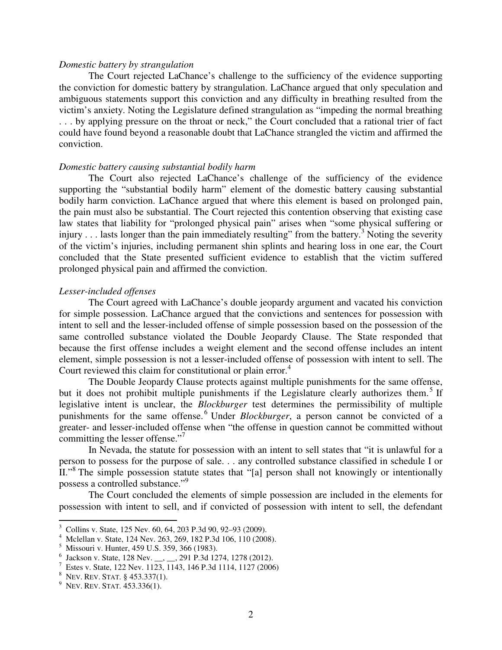#### *Domestic battery by strangulation*

 The Court rejected LaChance's challenge to the sufficiency of the evidence supporting the conviction for domestic battery by strangulation. LaChance argued that only speculation and ambiguous statements support this conviction and any difficulty in breathing resulted from the victim's anxiety. Noting the Legislature defined strangulation as "impeding the normal breathing . . . by applying pressure on the throat or neck," the Court concluded that a rational trier of fact could have found beyond a reasonable doubt that LaChance strangled the victim and affirmed the conviction.

#### *Domestic battery causing substantial bodily harm*

The Court also rejected LaChance's challenge of the sufficiency of the evidence supporting the "substantial bodily harm" element of the domestic battery causing substantial bodily harm conviction. LaChance argued that where this element is based on prolonged pain, the pain must also be substantial. The Court rejected this contention observing that existing case law states that liability for "prolonged physical pain" arises when "some physical suffering or injury  $\dots$  lasts longer than the pain immediately resulting" from the battery.<sup>3</sup> Noting the severity of the victim's injuries, including permanent shin splints and hearing loss in one ear, the Court concluded that the State presented sufficient evidence to establish that the victim suffered prolonged physical pain and affirmed the conviction.

#### *Lesser-included offenses*

The Court agreed with LaChance's double jeopardy argument and vacated his conviction for simple possession. LaChance argued that the convictions and sentences for possession with intent to sell and the lesser-included offense of simple possession based on the possession of the same controlled substance violated the Double Jeopardy Clause. The State responded that because the first offense includes a weight element and the second offense includes an intent element, simple possession is not a lesser-included offense of possession with intent to sell. The Court reviewed this claim for constitutional or plain error.<sup>4</sup>

The Double Jeopardy Clause protects against multiple punishments for the same offense, but it does not prohibit multiple punishments if the Legislature clearly authorizes them.<sup>5</sup> If legislative intent is unclear, the *Blockburger* test determines the permissibility of multiple punishments for the same offense.<sup>6</sup> Under *Blockburger*, a person cannot be convicted of a greater- and lesser-included offense when "the offense in question cannot be committed without committing the lesser offense."

In Nevada, the statute for possession with an intent to sell states that "it is unlawful for a person to possess for the purpose of sale. . . any controlled substance classified in schedule I or II."<sup>8</sup> The simple possession statute states that "[a] person shall not knowingly or intentionally possess a controlled substance."<sup>9</sup>

 The Court concluded the elements of simple possession are included in the elements for possession with intent to sell, and if convicted of possession with intent to sell, the defendant

<sup>3</sup> Collins v. State, 125 Nev. 60, 64, 203 P.3d 90, 92–93 (2009).

<sup>4</sup> Mclellan v. State, 124 Nev. 263, 269, 182 P.3d 106, 110 (2008).

<sup>5</sup> Missouri v. Hunter, 459 U.S. 359, 366 (1983).

<sup>6</sup> Jackson v. State, 128 Nev. \_\_, \_\_, 291 P.3d 1274, 1278 (2012).

<sup>7</sup> Estes v. State, 122 Nev. 1123, 1143, 146 P.3d 1114, 1127 (2006)

<sup>8</sup> NEV. REV. STAT. § 453.337(1).

 $9$  Nev. Rev. Stat. 453.336(1).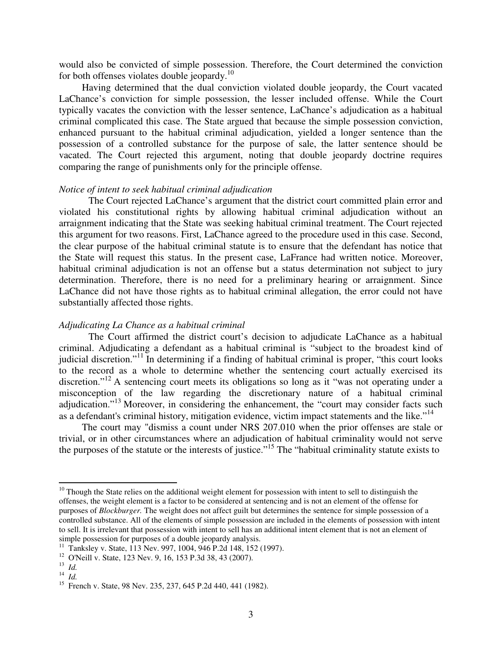would also be convicted of simple possession. Therefore, the Court determined the conviction for both offenses violates double jeopardy. $^{10}$ 

 Having determined that the dual conviction violated double jeopardy, the Court vacated LaChance's conviction for simple possession, the lesser included offense. While the Court typically vacates the conviction with the lesser sentence, LaChance's adjudication as a habitual criminal complicated this case. The State argued that because the simple possession conviction, enhanced pursuant to the habitual criminal adjudication, yielded a longer sentence than the possession of a controlled substance for the purpose of sale, the latter sentence should be vacated. The Court rejected this argument, noting that double jeopardy doctrine requires comparing the range of punishments only for the principle offense.

#### *Notice of intent to seek habitual criminal adjudication*

 The Court rejected LaChance's argument that the district court committed plain error and violated his constitutional rights by allowing habitual criminal adjudication without an arraignment indicating that the State was seeking habitual criminal treatment. The Court rejected this argument for two reasons. First, LaChance agreed to the procedure used in this case. Second, the clear purpose of the habitual criminal statute is to ensure that the defendant has notice that the State will request this status. In the present case, LaFrance had written notice. Moreover, habitual criminal adjudication is not an offense but a status determination not subject to jury determination. Therefore, there is no need for a preliminary hearing or arraignment. Since LaChance did not have those rights as to habitual criminal allegation, the error could not have substantially affected those rights.

#### *Adjudicating La Chance as a habitual criminal*

The Court affirmed the district court's decision to adjudicate LaChance as a habitual criminal. Adjudicating a defendant as a habitual criminal is "subject to the broadest kind of judicial discretion."<sup>11</sup> In determining if a finding of habitual criminal is proper, "this court looks" to the record as a whole to determine whether the sentencing court actually exercised its discretion."<sup>12</sup> A sentencing court meets its obligations so long as it "was not operating under a misconception of the law regarding the discretionary nature of a habitual criminal adjudication."<sup>13</sup> Moreover, in considering the enhancement, the "court may consider facts such as a defendant's criminal history, mitigation evidence, victim impact statements and the like."<sup>14</sup>

The court may "dismiss a count under NRS 207.010 when the prior offenses are stale or trivial, or in other circumstances where an adjudication of habitual criminality would not serve the purposes of the statute or the interests of justice."<sup>15</sup> The "habitual criminality statute exists to

 $10$  Though the State relies on the additional weight element for possession with intent to sell to distinguish the offenses, the weight element is a factor to be considered at sentencing and is not an element of the offense for purposes of *Blockburger.* The weight does not affect guilt but determines the sentence for simple possession of a controlled substance. All of the elements of simple possession are included in the elements of possession with intent to sell. It is irrelevant that possession with intent to sell has an additional intent element that is not an element of simple possession for purposes of a double jeopardy analysis.

<sup>11</sup> Tanksley v. State, 113 Nev. 997, 1004, 946 P.2d 148, 152 (1997).

<sup>&</sup>lt;sup>12</sup> O'Neill v. State, 123 Nev. 9, 16, 153 P.3d 38, 43 (2007).

<sup>13</sup> *Id.*

<sup>14</sup> *Id.*

<sup>&</sup>lt;sup>15</sup> French v. State, 98 Nev. 235, 237, 645 P.2d 440, 441 (1982).